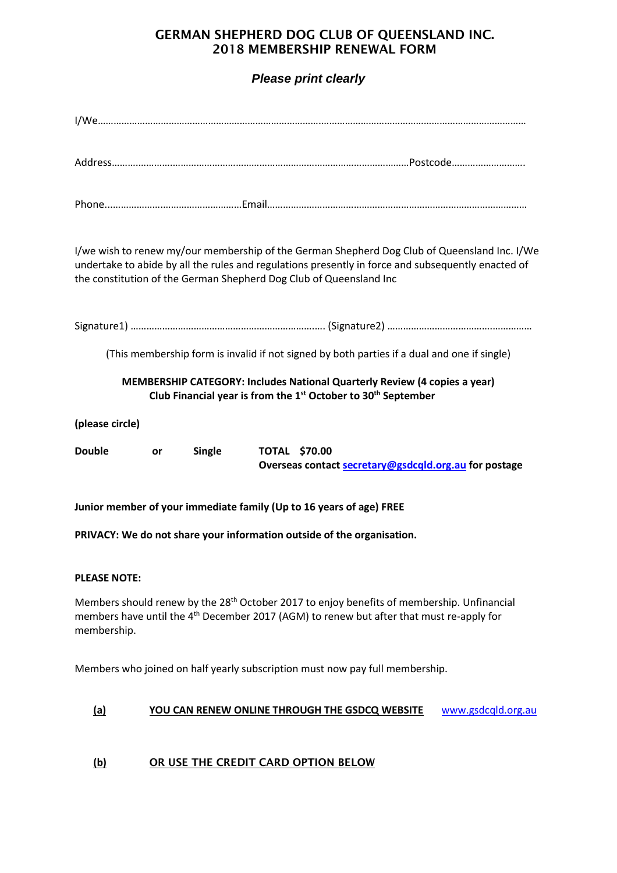## GERMAN SHEPHERD DOG CLUB OF QUEENSLAND INC. 2018 MEMBERSHIP RENEWAL FORM

## *Please print clearly*

| I/we wish to renew my/our membership of the German Shepherd Dog Club of Queensland Inc. I/We<br>undertake to abide by all the rules and regulations presently in force and subsequently enacted of<br>the constitution of the German Shepherd Dog Club of Queensland Inc |  |  |  |  |
|--------------------------------------------------------------------------------------------------------------------------------------------------------------------------------------------------------------------------------------------------------------------------|--|--|--|--|
|                                                                                                                                                                                                                                                                          |  |  |  |  |
| (This membership form is invalid if not signed by both parties if a dual and one if single)                                                                                                                                                                              |  |  |  |  |
| MEMBERSHIP CATEGORY: Includes National Quarterly Review (4 copies a year)<br>Club Financial year is from the 1 <sup>st</sup> October to 30 <sup>th</sup> September                                                                                                       |  |  |  |  |
| (please circle)                                                                                                                                                                                                                                                          |  |  |  |  |
| <b>Double</b><br><b>Single</b><br><b>TOTAL \$70.00</b><br>or<br>Overseas contact secretary@gsdcqld.org.au for postage                                                                                                                                                    |  |  |  |  |
| Junior member of your immediate family (Up to 16 years of age) FREE                                                                                                                                                                                                      |  |  |  |  |
| PRIVACY: We do not share your information outside of the organisation.                                                                                                                                                                                                   |  |  |  |  |
| <b>PLEASE NOTE:</b>                                                                                                                                                                                                                                                      |  |  |  |  |
| Members should renew by the 28 <sup>th</sup> October 2017 to enjoy benefits of membership. Unfinancial<br>members have until the 4 <sup>th</sup> December 2017 (AGM) to renew but after that must re-apply for<br>membership.                                            |  |  |  |  |
| Members who joined on half yearly subscription must now pay full membership.                                                                                                                                                                                             |  |  |  |  |

#### **(a) YOU CAN RENEW ONLINE THROUGH THE GSDCQ WEBSITE** [www.gsdcqld.org.au](http://www.gsdcqld.org.au/)

### **(b)** OR USE THE CREDIT CARD OPTION BELOW